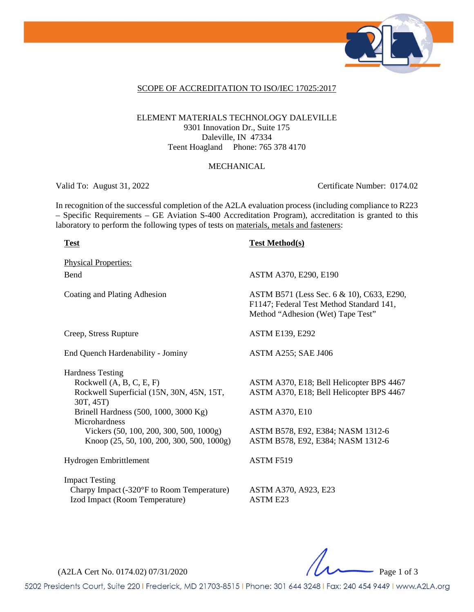

### SCOPE OF ACCREDITATION TO ISO/IEC 17025:2017

### ELEMENT MATERIALS TECHNOLOGY DALEVILLE 9301 Innovation Dr., Suite 175 Daleville, IN 47334 Teent Hoagland Phone: 765 378 4170

#### MECHANICAL

Valid To: August 31, 2022 Certificate Number: 0174.02

In recognition of the successful completion of the A2LA evaluation process (including compliance to R223 – Specific Requirements – GE Aviation S-400 Accreditation Program), accreditation is granted to this laboratory to perform the following types of tests on materials, metals and fasteners:

#### **Test Test Method(s)**

Physical Properties: Bend **ASTM A370, E290, E190** Coating and Plating Adhesion ASTM B571 (Less Sec. 6 & 10), C633, E290, F1147; Federal Test Method Standard 141, Method "Adhesion (Wet) Tape Test" Creep, Stress Rupture ASTM E139, E292 End Quench Hardenability - Jominy ASTM A255; SAE J406 Hardness Testing Rockwell (A, B, C, E, F) ASTM A370, E18; Bell Helicopter BPS 4467 Rockwell Superficial (15N, 30N, 45N, 15T, 30T, 45T) ASTM A370, E18; Bell Helicopter BPS 4467 Brinell Hardness (500, 1000, 3000 Kg) ASTM A370, E10 **Microhardness** Vickers (50, 100, 200, 300, 500, 1000g) ASTM B578, E92, E384; NASM 1312-6 Knoop (25, 50, 100, 200, 300, 500, 1000g) ASTM B578, E92, E384; NASM 1312-6 Hydrogen Embrittlement ASTM F519 Impact Testing Charpy Impact(-320°F to Room Temperature) ASTM A370, A923, E23 Izod Impact (Room Temperature) ASTM E23

(A2LA Cert No. 0174.02) 07/31/2020 Page 1 of 3

5202 Presidents Court, Suite 220 | Frederick, MD 21703-8515 | Phone: 301 644 3248 | Fax: 240 454 9449 | www.A2LA.org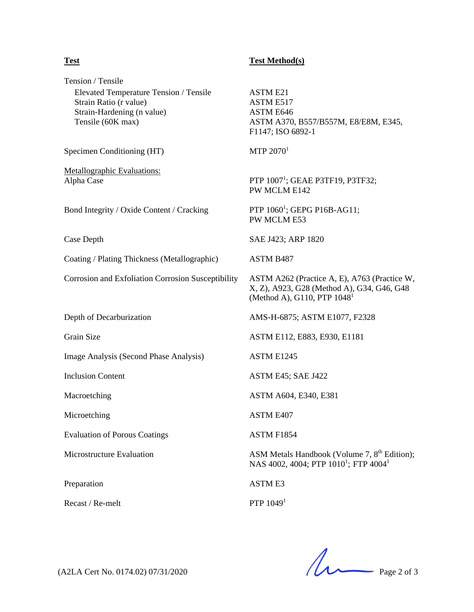Tension / Tensile Elevated Temperature Tension / Tensile ASTM E21 Strain Ratio (r value) ASTM E517 Strain-Hardening (n value) ASTM E646 Tensile (60K max) ASTM A370, B557/B557M, E8/E8M, E345, F1147; ISO 6892-1 Specimen Conditioning (HT)  $MTP 2070<sup>1</sup>$ Metallographic Evaluations: Alpha Case PTP 1007<sup>1</sup>; GEAE P3TF19, P3TF32; PW MCLM E142 Bond Integrity / Oxide Content / Cracking PTP 1060<sup>1</sup>; GEPG P16B-AG11; PW MCLM E53 Case Depth SAE J423; ARP 1820 Coating / Plating Thickness (Metallographic) ASTM B487 Corrosion and Exfoliation Corrosion Susceptibility (Method A), G110, PTP  $1048^1$ Depth of Decarburization AMS-H-6875; ASTM E1077, F2328 Grain Size **ASTM E112, E883, E930, E1181** Image Analysis (Second Phase Analysis) ASTM E1245 Inclusion Content ASTM E45; SAE J422 Macroetching **ASTM A604, E381** Microetching ASTM E407 Evaluation of Porous Coatings ASTM F1854 Microstructure Evaluation **ASM Metals Handbook (Volume 7, 8th Edition)**; NAS 4002, 4004; PTP  $1010^1$ ; FTP  $4004^1$ Preparation ASTM E3

 $\text{Recast} / \text{Re-melt}$  PTP 1049<sup>1</sup>

**Test Test Method(s)** 

ASTM A262 (Practice A, E), A763 (Practice W, X, Z), A923, G28 (Method A), G34, G46, G48

 $(A2LA$  Cert No. 0174.02) 07/31/2020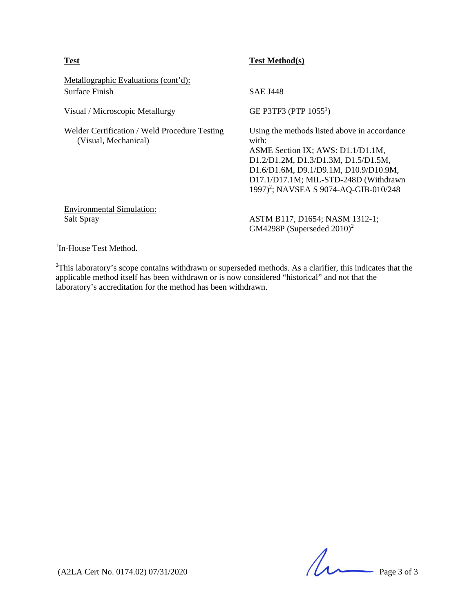| <b>Test</b>                                                           | <b>Test Method(s)</b>                                                                                                                                                                                                                                                    |
|-----------------------------------------------------------------------|--------------------------------------------------------------------------------------------------------------------------------------------------------------------------------------------------------------------------------------------------------------------------|
| Metallographic Evaluations (cont'd):<br>Surface Finish                | <b>SAE J448</b>                                                                                                                                                                                                                                                          |
| Visual / Microscopic Metallurgy                                       | GE P3TF3 (PTP $1055^1$ )                                                                                                                                                                                                                                                 |
| Welder Certification / Weld Procedure Testing<br>(Visual, Mechanical) | Using the methods listed above in accordance<br>with:<br>ASME Section IX; AWS: D1.1/D1.1M,<br>D1.2/D1.2M, D1.3/D1.3M, D1.5/D1.5M,<br>D1.6/D1.6M, D9.1/D9.1M, D10.9/D10.9M,<br>D17.1/D17.1M; MIL-STD-248D (Withdrawn<br>1997) <sup>2</sup> ; NAVSEA S 9074-AQ-GIB-010/248 |
| <b>Environmental Simulation:</b><br>Salt Spray                        | ASTM B117, D1654; NASM 1312-1;<br>GM4298P (Superseded $2010$ ) <sup>2</sup>                                                                                                                                                                                              |

<sup>1</sup>In-House Test Method.

 $2$ This laboratory's scope contains withdrawn or superseded methods. As a clarifier, this indicates that the applicable method itself has been withdrawn or is now considered "historical" and not that the laboratory's accreditation for the method has been withdrawn.

 $($ A2LA Cert No. 0174.02) 07/31/2020 Page 3 of 3